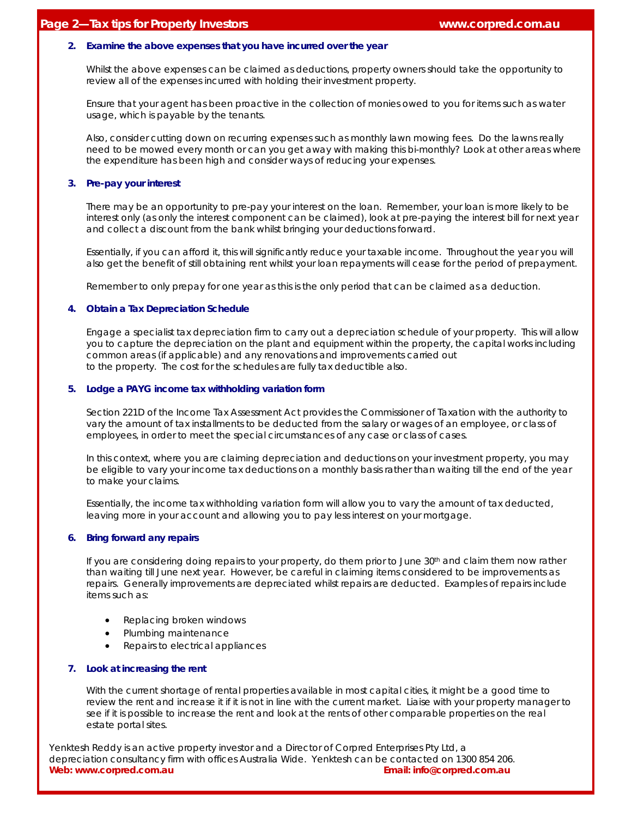#### **2. Examine the above expenses that you have incurred over the year**

Whilst the above expenses can be claimed as deductions, property owners should take the opportunity to review all of the expenses incurred with holding their investment property.

Ensure that your agent has been proactive in the collection of monies owed to you for items such as water usage, which is payable by the tenants.

Also, consider cutting down on recurring expenses such as monthly lawn mowing fees. Do the lawns really need to be mowed every month or can you get away with making this bi-monthly? Look at other areas where the expenditure has been high and consider ways of reducing your expenses.

## **3. Pre-pay your interest**

There may be an opportunity to pre-pay your interest on the loan. Remember, your loan is more likely to be interest only (as only the interest component can be claimed), look at pre-paying the interest bill for next year and collect a discount from the bank whilst bringing your deductions forward.

Essentially, if you can afford it, this will significantly reduce your taxable income. Throughout the year you will also get the benefit of still obtaining rent whilst your loan repayments will cease for the period of prepayment.

Remember to only prepay for one year as this is the only period that can be claimed as a deduction.

#### **4. Obtain a Tax Depreciation Schedule**

Engage a specialist tax depreciation firm to carry out a depreciation schedule of your property. This will allow you to capture the depreciation on the plant and equipment within the property, the capital works including common areas (if applicable) and any renovations and improvements carried out to the property. The cost for the schedules are fully tax deductible also.

#### **5. Lodge a PAYG income tax withholding variation form**

Section 221D of the Income Tax Assessment Act provides the Commissioner of Taxation with the authority to vary the amount of tax installments to be deducted from the salary or wages of an employee, or class of employees, in order to meet the special circumstances of any case or class of cases.

In this context, where you are claiming depreciation and deductions on your investment property, you may be eligible to vary your income tax deductions on a monthly basis rather than waiting till the end of the year to make your claims.

Essentially, the income tax withholding variation form will allow you to vary the amount of tax deducted, leaving more in your account and allowing you to pay less interest on your mortgage.

## **6. Bring forward any repairs**

If you are considering doing repairs to your property, do them prior to June 30<sup>th</sup> and claim them now rather than waiting till June next year. However, be careful in claiming items considered to be improvements as repairs. Generally improvements are depreciated whilst repairs are deducted. Examples of repairs include items such as:

- Replacing broken windows
- Plumbing maintenance
- Repairs to electrical appliances

## **7. Look at increasing the rent**

With the current shortage of rental properties available in most capital cities, it might be a good time to review the rent and increase it if it is not in line with the current market. Liaise with your property manager to see if it is possible to increase the rent and look at the rents of other comparable properties on the real estate portal sites.

Yenktesh Reddy is an active property investor and a Director of Corpred Enterprises Pty Ltd, a depreciation consultancy firm with offices Australia Wide. Yenktesh can be contacted on 1300 854 206. **Web: www.corpred.com.au Email: info@corpred.com.au**